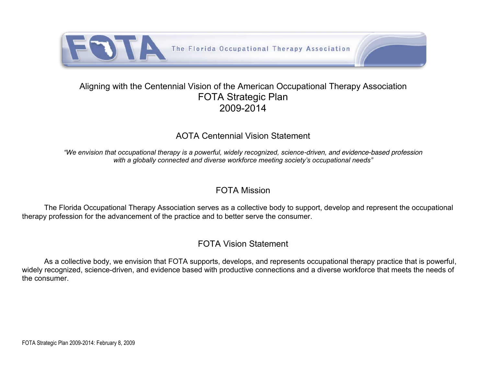

## Aligning with the Centennial Vision of the American Occupational Therapy Association FOTA Strategic Plan 2009-2014

## AOTA Centennial Vision Statement

*"We envision that occupational therapy is a powerful, widely recognized, science-driven, and evidence-based profession with a globally connected and diverse workforce meeting society's occupational needs"*

## FOTA Mission

The Florida Occupational Therapy Association serves as a collective body to support, develop and represent the occupational therapy profession for the advancement of the practice and to better serve the consumer.

## FOTA Vision Statement

As a collective body, we envision that FOTA supports, develops, and represents occupational therapy practice that is powerful, widely recognized, science-driven, and evidence based with productive connections and a diverse workforce that meets the needs of the consumer.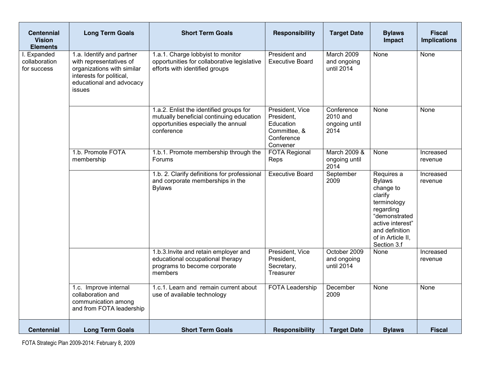| <b>Centennial</b><br><b>Vision</b><br><b>Elements</b> | <b>Long Term Goals</b>                                                                                                                               | <b>Short Term Goals</b>                                                                                                                  | <b>Responsibility</b>                                                                | <b>Target Date</b>                              | <b>Bylaws</b><br>Impact                                                                                                                                                    | <b>Fiscal</b><br><b>Implications</b> |
|-------------------------------------------------------|------------------------------------------------------------------------------------------------------------------------------------------------------|------------------------------------------------------------------------------------------------------------------------------------------|--------------------------------------------------------------------------------------|-------------------------------------------------|----------------------------------------------------------------------------------------------------------------------------------------------------------------------------|--------------------------------------|
| Expanded<br>collaboration<br>for success              | 1.a. Identify and partner<br>with representatives of<br>organizations with similar<br>interests for political,<br>educational and advocacy<br>issues | 1.a.1. Charge lobbyist to monitor<br>opportunities for collaborative legislative<br>efforts with identified groups                       | President and<br><b>Executive Board</b>                                              | March 2009<br>and ongoing<br>until 2014         | None                                                                                                                                                                       | None                                 |
|                                                       |                                                                                                                                                      | 1.a.2. Enlist the identified groups for<br>mutually beneficial continuing education<br>opportunities especially the annual<br>conference | President, Vice<br>President,<br>Education<br>Committee, &<br>Conference<br>Convener | Conference<br>2010 and<br>ongoing until<br>2014 | None                                                                                                                                                                       | None                                 |
|                                                       | 1.b. Promote FOTA<br>membership                                                                                                                      | 1.b.1. Promote membership through the<br>Forums                                                                                          | <b>FOTA Regional</b><br>Reps                                                         | March 2009 &<br>ongoing until<br>2014           | None                                                                                                                                                                       | Increased<br>revenue                 |
|                                                       |                                                                                                                                                      | 1.b. 2. Clarify definitions for professional<br>and corporate memberships in the<br><b>Bylaws</b>                                        | <b>Executive Board</b>                                                               | September<br>2009                               | Requires a<br><b>Bylaws</b><br>change to<br>clarify<br>terminology<br>regarding<br>"demonstrated<br>active interest"<br>and definition<br>of in Article II,<br>Section 3.f | Increased<br>revenue                 |
|                                                       |                                                                                                                                                      | 1.b.3. Invite and retain employer and<br>educational occupational therapy<br>programs to become corporate<br>members                     | President, Vice<br>President,<br>Secretary,<br>Treasurer                             | October 2009<br>and ongoing<br>until 2014       | None                                                                                                                                                                       | Increased<br>revenue                 |
|                                                       | 1.c. Improve internal<br>collaboration and<br>communication among<br>and from FOTA leadership                                                        | 1.c.1. Learn and remain current about<br>use of available technology                                                                     | <b>FOTA Leadership</b>                                                               | December<br>2009                                | None                                                                                                                                                                       | None                                 |
| <b>Centennial</b>                                     | <b>Long Term Goals</b>                                                                                                                               | <b>Short Term Goals</b>                                                                                                                  | Responsibility                                                                       | <b>Target Date</b>                              | <b>Bylaws</b>                                                                                                                                                              | <b>Fiscal</b>                        |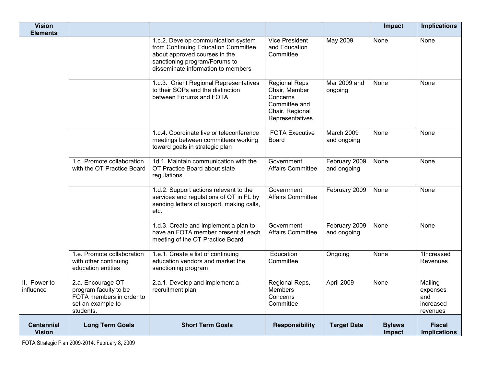| <b>Vision</b><br><b>Elements</b>   |                                                                                                          |                                                                                                                                                                                    |                                                                                                          |                              | Impact                  | <b>Implications</b>                                 |
|------------------------------------|----------------------------------------------------------------------------------------------------------|------------------------------------------------------------------------------------------------------------------------------------------------------------------------------------|----------------------------------------------------------------------------------------------------------|------------------------------|-------------------------|-----------------------------------------------------|
|                                    |                                                                                                          | 1.c.2. Develop communication system<br>from Continuing Education Committee<br>about approved courses in the<br>sanctioning program/Forums to<br>disseminate information to members | <b>Vice President</b><br>and Education<br>Committee                                                      | May 2009                     | None                    | None                                                |
|                                    |                                                                                                          | 1.c.3. Orient Regional Representatives<br>to their SOPs and the distinction<br>between Forums and FOTA                                                                             | <b>Regional Reps</b><br>Chair, Member<br>Concerns<br>Committee and<br>Chair, Regional<br>Representatives | Mar 2009 and<br>ongoing      | None                    | None                                                |
|                                    |                                                                                                          | 1.c.4. Coordinate live or teleconference<br>meetings between committees working<br>toward goals in strategic plan                                                                  | <b>FOTA Executive</b><br><b>Board</b>                                                                    | March 2009<br>and ongoing    | None                    | None                                                |
|                                    | 1.d. Promote collaboration<br>with the OT Practice Board                                                 | 1d.1. Maintain communication with the<br>OT Practice Board about state<br>regulations                                                                                              | Government<br><b>Affairs Committee</b>                                                                   | February 2009<br>and ongoing | None                    | None                                                |
|                                    |                                                                                                          | 1.d.2. Support actions relevant to the<br>services and regulations of OT in FL by<br>sending letters of support, making calls,<br>etc.                                             | Government<br><b>Affairs Committee</b>                                                                   | February 2009                | None                    | <b>None</b>                                         |
|                                    |                                                                                                          | 1.d.3. Create and implement a plan to<br>have an FOTA member present at each<br>meeting of the OT Practice Board                                                                   | Government<br><b>Affairs Committee</b>                                                                   | February 2009<br>and ongoing | None                    | None                                                |
|                                    | 1.e. Promote collaboration<br>with other continuing<br>education entities                                | 1.e.1. Create a list of continuing<br>education vendors and market the<br>sanctioning program                                                                                      | Education<br>Committee                                                                                   | Ongoing                      | None                    | 1Increased<br>Revenues                              |
| II. Power to<br>influence          | 2.a. Encourage OT<br>program faculty to be<br>FOTA members in order to<br>set an example to<br>students. | 2.a.1. Develop and implement a<br>recruitment plan                                                                                                                                 | Regional Reps,<br><b>Members</b><br>Concerns<br>Committee                                                | April 2009                   | None                    | Mailing<br>expenses<br>and<br>increased<br>revenues |
| <b>Centennial</b><br><b>Vision</b> | <b>Long Term Goals</b>                                                                                   | <b>Short Term Goals</b>                                                                                                                                                            | <b>Responsibility</b>                                                                                    | <b>Target Date</b>           | <b>Bylaws</b><br>Impact | <b>Fiscal</b><br><b>Implications</b>                |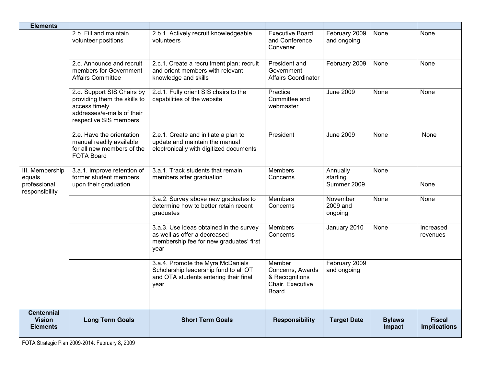| <b>Elements</b>                                             |                                                                                                                                     |                                                                                                                             |                                                                           |                                     |                         |                                      |
|-------------------------------------------------------------|-------------------------------------------------------------------------------------------------------------------------------------|-----------------------------------------------------------------------------------------------------------------------------|---------------------------------------------------------------------------|-------------------------------------|-------------------------|--------------------------------------|
|                                                             | 2.b. Fill and maintain<br>volunteer positions                                                                                       | 2.b.1. Actively recruit knowledgeable<br>volunteers                                                                         | <b>Executive Board</b><br>and Conference<br>Convener                      | February 2009<br>and ongoing        | None                    | None                                 |
|                                                             | 2.c. Announce and recruit<br>members for Government<br><b>Affairs Committee</b>                                                     | 2.c.1. Create a recruitment plan; recruit<br>and orient members with relevant<br>knowledge and skills                       | President and<br>Government<br><b>Affairs Coordinator</b>                 | February 2009                       | None                    | None                                 |
|                                                             | 2.d. Support SIS Chairs by<br>providing them the skills to<br>access timely<br>addresses/e-mails of their<br>respective SIS members | 2.d.1. Fully orient SIS chairs to the<br>capabilities of the website                                                        | Practice<br>Committee and<br>webmaster                                    | <b>June 2009</b>                    | None                    | None                                 |
|                                                             | 2.e. Have the orientation<br>manual readily available<br>for all new members of the<br><b>FOTA Board</b>                            | 2.e.1. Create and initiate a plan to<br>update and maintain the manual<br>electronically with digitized documents           | President                                                                 | <b>June 2009</b>                    | None                    | None                                 |
| III. Membership<br>equals<br>professional<br>responsibility | 3.a.1. Improve retention of<br>former student members<br>upon their graduation                                                      | 3.a.1. Track students that remain<br>members after graduation                                                               | <b>Members</b><br>Concerns                                                | Annually<br>starting<br>Summer 2009 | None                    | None                                 |
|                                                             |                                                                                                                                     | 3.a.2. Survey above new graduates to<br>determine how to better retain recent<br>graduates                                  | <b>Members</b><br>Concerns                                                | November<br>2009 and<br>ongoing     | None                    | None                                 |
|                                                             |                                                                                                                                     | 3.a.3. Use ideas obtained in the survey<br>as well as offer a decreased<br>membership fee for new graduates' first<br>year  | <b>Members</b><br>Concerns                                                | January 2010                        | <b>None</b>             | Increased<br>revenues                |
|                                                             |                                                                                                                                     | 3.a.4. Promote the Myra McDaniels<br>Scholarship leadership fund to all OT<br>and OTA students entering their final<br>year | Member<br>Concerns, Awards<br>& Recognitions<br>Chair, Executive<br>Board | February 2009<br>and ongoing        |                         |                                      |
| <b>Centennial</b><br><b>Vision</b><br><b>Elements</b>       | <b>Long Term Goals</b>                                                                                                              | <b>Short Term Goals</b>                                                                                                     | <b>Responsibility</b>                                                     | <b>Target Date</b>                  | <b>Bylaws</b><br>Impact | <b>Fiscal</b><br><b>Implications</b> |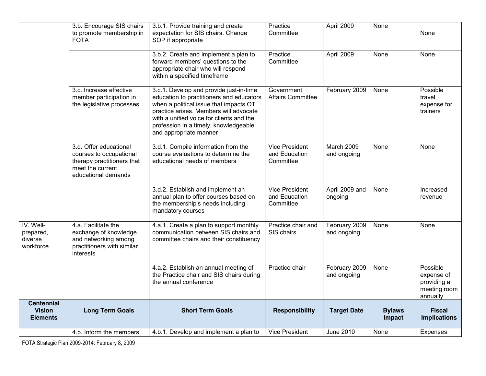|                                                       | 3.b. Encourage SIS chairs<br>to promote membership in<br><b>FOTA</b>                                                       | 3.b.1. Provide training and create<br>expectation for SIS chairs. Change<br>SOP if appropriate                                                                                                                                                                                         | Practice<br>Committee                               | April 2009                   | None                    | None                                                              |
|-------------------------------------------------------|----------------------------------------------------------------------------------------------------------------------------|----------------------------------------------------------------------------------------------------------------------------------------------------------------------------------------------------------------------------------------------------------------------------------------|-----------------------------------------------------|------------------------------|-------------------------|-------------------------------------------------------------------|
|                                                       |                                                                                                                            | 3.b.2. Create and implement a plan to<br>forward members' questions to the<br>appropriate chair who will respond<br>within a specified timeframe                                                                                                                                       | Practice<br>Committee                               | April 2009                   | None                    | None                                                              |
|                                                       | 3.c. Increase effective<br>member participation in<br>the legislative processes                                            | 3.c.1. Develop and provide just-in-time<br>education to practitioners and educators<br>when a political issue that impacts OT<br>practice arises. Members will advocate<br>with a unified voice for clients and the<br>profession in a timely, knowledgeable<br>and appropriate manner | Government<br><b>Affairs Committee</b>              | February 2009                | None                    | Possible<br>travel<br>expense for<br>trainers                     |
|                                                       | 3.d. Offer educational<br>courses to occupational<br>therapy practitioners that<br>meet the current<br>educational demands | 3.d.1. Compile information from the<br>course evaluations to determine the<br>educational needs of members                                                                                                                                                                             | <b>Vice President</b><br>and Education<br>Committee | March 2009<br>and ongoing    | None                    | None                                                              |
|                                                       |                                                                                                                            | 3.d.2. Establish and implement an<br>annual plan to offer courses based on<br>the membership's needs including<br>mandatory courses                                                                                                                                                    | <b>Vice President</b><br>and Education<br>Committee | April 2009 and<br>ongoing    | None                    | Increased<br>revenue                                              |
| IV. Well-<br>prepared,<br>diverse<br>workforce        | 4.a. Facilitate the<br>exchange of knowledge<br>and networking among<br>practitioners with similar<br>interests            | 4.a.1. Create a plan to support monthly<br>communication between SIS chairs and<br>committee chairs and their constituency                                                                                                                                                             | Practice chair and<br>SIS chairs                    | February 2009<br>and ongoing | None                    | None                                                              |
|                                                       |                                                                                                                            | 4.a.2. Establish an annual meeting of<br>the Practice chair and SIS chairs during<br>the annual conference                                                                                                                                                                             | Practice chair                                      | February 2009<br>and ongoing | None                    | Possible<br>expense of<br>providing a<br>meeting room<br>annually |
| <b>Centennial</b><br><b>Vision</b><br><b>Elements</b> | <b>Long Term Goals</b>                                                                                                     | <b>Short Term Goals</b>                                                                                                                                                                                                                                                                | <b>Responsibility</b>                               | <b>Target Date</b>           | <b>Bylaws</b><br>Impact | <b>Fiscal</b><br><b>Implications</b>                              |
|                                                       | 4.b. Inform the members                                                                                                    | 4.b.1. Develop and implement a plan to                                                                                                                                                                                                                                                 | <b>Vice President</b>                               | <b>June 2010</b>             | None                    | Expenses                                                          |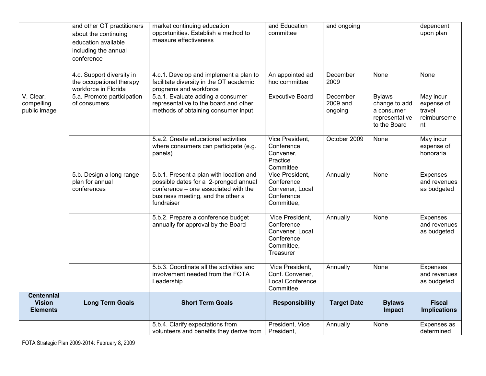|                                                       | and other OT practitioners<br>about the continuing<br>education available<br>including the annual<br>conference | market continuing education<br>opportunities. Establish a method to<br>measure effectiveness                                                                                | and Education<br>committee                                                                | and ongoing                     |                                                                                | dependent<br>upon plan                                 |
|-------------------------------------------------------|-----------------------------------------------------------------------------------------------------------------|-----------------------------------------------------------------------------------------------------------------------------------------------------------------------------|-------------------------------------------------------------------------------------------|---------------------------------|--------------------------------------------------------------------------------|--------------------------------------------------------|
|                                                       | 4.c. Support diversity in<br>the occupational therapy<br>workforce in Florida                                   | 4.c.1. Develop and implement a plan to<br>facilitate diversity in the OT academic<br>programs and workforce                                                                 | An appointed ad<br>hoc committee                                                          | December<br>2009                | None                                                                           | None                                                   |
| V. Clear,<br>compelling<br>public image               | 5.a. Promote participation<br>of consumers                                                                      | 5.a.1. Evaluate adding a consumer<br>representative to the board and other<br>methods of obtaining consumer input                                                           | <b>Executive Board</b>                                                                    | December<br>2009 and<br>ongoing | <b>Bylaws</b><br>change to add<br>a consumer<br>representative<br>to the Board | May incur<br>expense of<br>travel<br>reimburseme<br>nt |
|                                                       |                                                                                                                 | 5.a.2. Create educational activities<br>where consumers can participate (e.g.<br>panels)                                                                                    | Vice President,<br>Conference<br>Convener,<br>Practice<br>Committee                       | October 2009                    | None                                                                           | May incur<br>expense of<br>honoraria                   |
|                                                       | 5.b. Design a long range<br>plan for annual<br>conferences                                                      | 5.b.1. Present a plan with location and<br>possible dates for a 2-pronged annual<br>conference - one associated with the<br>business meeting, and the other a<br>fundraiser | Vice President,<br>Conference<br>Convener, Local<br>Conference<br>Committee,              | Annually                        | None                                                                           | Expenses<br>and revenues<br>as budgeted                |
|                                                       |                                                                                                                 | 5.b.2. Prepare a conference budget<br>annually for approval by the Board                                                                                                    | Vice President.<br>Conference<br>Convener, Local<br>Conference<br>Committee,<br>Treasurer | Annually                        | None                                                                           | Expenses<br>and revenues<br>as budgeted                |
|                                                       |                                                                                                                 | 5.b.3. Coordinate all the activities and<br>involvement needed from the FOTA<br>Leadership                                                                                  | Vice President.<br>Conf. Convener,<br>Local Conference<br>Committee                       | Annually                        | None                                                                           | Expenses<br>and revenues<br>as budgeted                |
| <b>Centennial</b><br><b>Vision</b><br><b>Elements</b> | <b>Long Term Goals</b>                                                                                          | <b>Short Term Goals</b>                                                                                                                                                     | <b>Responsibility</b>                                                                     | <b>Target Date</b>              | <b>Bylaws</b><br>Impact                                                        | <b>Fiscal</b><br><b>Implications</b>                   |
|                                                       |                                                                                                                 | 5.b.4. Clarify expectations from<br>volunteers and benefits they derive from                                                                                                | President, Vice<br>President,                                                             | Annually                        | None                                                                           | Expenses as<br>determined                              |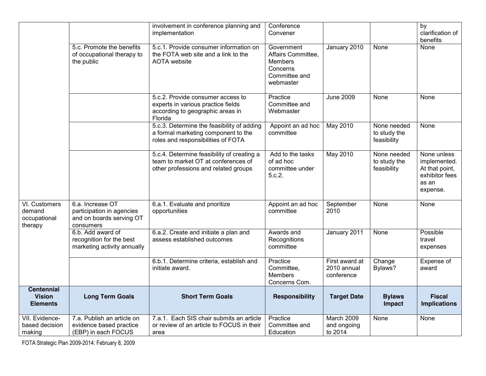|                                                       |                                                                                        | involvement in conference planning and<br>implementation                                                                  | Conference<br>Convener                                                                       |                                             |                                            | by<br>clarification of<br>benefits                                                   |
|-------------------------------------------------------|----------------------------------------------------------------------------------------|---------------------------------------------------------------------------------------------------------------------------|----------------------------------------------------------------------------------------------|---------------------------------------------|--------------------------------------------|--------------------------------------------------------------------------------------|
|                                                       | 5.c. Promote the benefits<br>of occupational therapy to<br>the public                  | 5.c.1. Provide consumer information on<br>the FOTA web site and a link to the<br><b>AOTA</b> website                      | Government<br>Affairs Committee,<br><b>Members</b><br>Concerns<br>Committee and<br>webmaster | January 2010                                | None                                       | None                                                                                 |
|                                                       |                                                                                        | 5.c.2. Provide consumer access to<br>experts in various practice fields<br>according to geographic areas in<br>Florida    | Practice<br>Committee and<br>Webmaster                                                       | <b>June 2009</b>                            | None                                       | None                                                                                 |
|                                                       |                                                                                        | 5.c.3. Determine the feasibility of adding<br>a formal marketing component to the<br>roles and responsibilities of FOTA   | Appoint an ad hoc<br>committee                                                               | <b>May 2010</b>                             | None needed<br>to study the<br>feasibility | None                                                                                 |
|                                                       |                                                                                        | 5.c.4. Determine feasibility of creating a<br>team to market OT at conferences of<br>other professions and related groups | Add to the tasks<br>of ad hoc<br>committee under<br>5.c.2.                                   | <b>May 2010</b>                             | None needed<br>to study the<br>feasibility | None unless<br>implemented.<br>At that point,<br>exhibitor fees<br>as an<br>expense. |
| VI. Customers<br>demand<br>occupational<br>therapy    | 6.a. Increase OT<br>participation in agencies<br>and on boards serving OT<br>consumers | 6.a.1. Evaluate and prioritize<br>opportunities                                                                           | Appoint an ad hoc<br>committee                                                               | September<br>2010                           | None                                       | None                                                                                 |
|                                                       | 6.b. Add award of<br>recognition for the best<br>marketing activity annually           | 6.a.2. Create and initiate a plan and<br>assess established outcomes                                                      | Awards and<br>Recognitions<br>committee                                                      | January 2011                                | None                                       | Possible<br>travel<br>expenses                                                       |
|                                                       |                                                                                        | 6.b.1. Determine criteria, establish and<br>initiate award.                                                               | Practice<br>Committee,<br><b>Members</b><br>Concerns Com.                                    | First award at<br>2010 annual<br>conference | Change<br>Bylaws?                          | Expense of<br>award                                                                  |
| <b>Centennial</b><br><b>Vision</b><br><b>Elements</b> | <b>Long Term Goals</b>                                                                 | <b>Short Term Goals</b>                                                                                                   | <b>Responsibility</b>                                                                        | <b>Target Date</b>                          | <b>Bylaws</b><br>Impact                    | <b>Fiscal</b><br><b>Implications</b>                                                 |
| VII. Evidence-<br>based decision<br>making            | 7.a. Publish an article on<br>evidence based practice<br>(EBP) in each FOCUS           | 7.a.1. Each SIS chair submits an article<br>or review of an article to FOCUS in their<br>area                             | Practice<br>Committee and<br>Education                                                       | March 2009<br>and ongoing<br>to 2014        | None                                       | None                                                                                 |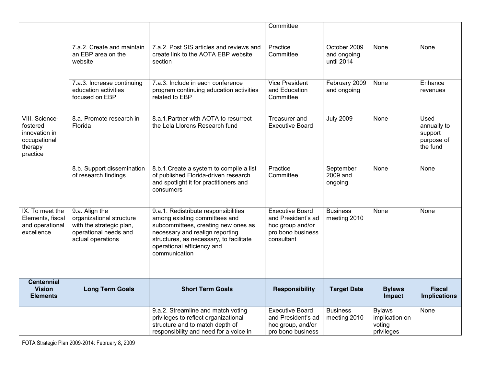|                                                                                    |                                                                                                                      |                                                                                                                                                                                                                                           | Committee                                                                                           |                                           |                                                         |                                                          |
|------------------------------------------------------------------------------------|----------------------------------------------------------------------------------------------------------------------|-------------------------------------------------------------------------------------------------------------------------------------------------------------------------------------------------------------------------------------------|-----------------------------------------------------------------------------------------------------|-------------------------------------------|---------------------------------------------------------|----------------------------------------------------------|
|                                                                                    | 7.a.2. Create and maintain<br>an EBP area on the<br>website                                                          | 7.a.2. Post SIS articles and reviews and<br>create link to the AOTA EBP website<br>section                                                                                                                                                | Practice<br>Committee                                                                               | October 2009<br>and ongoing<br>until 2014 | None                                                    | None                                                     |
|                                                                                    | 7.a.3. Increase continuing<br>education activities<br>focused on EBP                                                 | 7.a.3. Include in each conference<br>program continuing education activities<br>related to EBP                                                                                                                                            | <b>Vice President</b><br>and Education<br>Committee                                                 | February 2009<br>and ongoing              | None                                                    | Enhance<br>revenues                                      |
| VIII. Science-<br>fostered<br>innovation in<br>occupational<br>therapy<br>practice | 8.a. Promote research in<br>Florida                                                                                  | 8.a.1. Partner with AOTA to resurrect<br>the Lela Llorens Research fund                                                                                                                                                                   | Treasurer and<br><b>Executive Board</b>                                                             | <b>July 2009</b>                          | None                                                    | Used<br>annually to<br>support<br>purpose of<br>the fund |
|                                                                                    | 8.b. Support dissemination<br>of research findings                                                                   | 8.b.1. Create a system to compile a list<br>of published Florida-driven research<br>and spotlight it for practitioners and<br>consumers                                                                                                   | Practice<br>Committee                                                                               | September<br>2009 and<br>ongoing          | None                                                    | None                                                     |
| IX. To meet the<br>Elements, fiscal<br>and operational<br>excellence               | 9.a. Align the<br>organizational structure<br>with the strategic plan,<br>operational needs and<br>actual operations | 9.a.1. Redistribute responsibilities<br>among existing committees and<br>subcommittees, creating new ones as<br>necessary and realign reporting<br>structures, as necessary, to facilitate<br>operational efficiency and<br>communication | <b>Executive Board</b><br>and President's ad<br>hoc group and/or<br>pro bono business<br>consultant | <b>Business</b><br>meeting 2010           | None                                                    | None                                                     |
| <b>Centennial</b><br><b>Vision</b><br><b>Elements</b>                              | <b>Long Term Goals</b>                                                                                               | <b>Short Term Goals</b>                                                                                                                                                                                                                   | <b>Responsibility</b>                                                                               | <b>Target Date</b>                        | <b>Bylaws</b><br>Impact                                 | <b>Fiscal</b><br><b>Implications</b>                     |
|                                                                                    |                                                                                                                      | 9.a.2. Streamline and match voting<br>privileges to reflect organizational<br>structure and to match depth of<br>responsibility and need for a voice in                                                                                   | <b>Executive Board</b><br>and President's ad<br>hoc group, and/or<br>pro bono business              | <b>Business</b><br>meeting 2010           | <b>Bylaws</b><br>implication on<br>voting<br>privileges | None                                                     |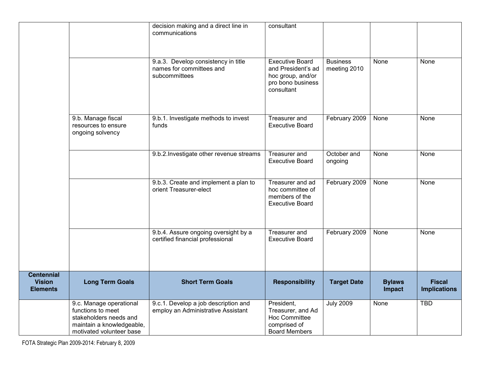|                                                       |                                                                                                                                 | decision making and a direct line in<br>communications                           | consultant                                                                                           |                                 |                         | None<br>None<br>None<br>None<br>None<br><b>Fiscal</b><br><b>Implications</b> |
|-------------------------------------------------------|---------------------------------------------------------------------------------------------------------------------------------|----------------------------------------------------------------------------------|------------------------------------------------------------------------------------------------------|---------------------------------|-------------------------|------------------------------------------------------------------------------|
|                                                       |                                                                                                                                 | 9.a.3. Develop consistency in title<br>names for committees and<br>subcommittees | <b>Executive Board</b><br>and President's ad<br>hoc group, and/or<br>pro bono business<br>consultant | <b>Business</b><br>meeting 2010 | None                    |                                                                              |
|                                                       | 9.b. Manage fiscal<br>resources to ensure<br>ongoing solvency                                                                   | 9.b.1. Investigate methods to invest<br>funds                                    | <b>Treasurer</b> and<br><b>Executive Board</b>                                                       | February 2009                   | None                    |                                                                              |
|                                                       |                                                                                                                                 | 9.b.2. Investigate other revenue streams                                         | Treasurer and<br><b>Executive Board</b>                                                              | October and<br>ongoing          | None                    |                                                                              |
|                                                       |                                                                                                                                 | 9.b.3. Create and implement a plan to<br>orient Treasurer-elect                  | Treasurer and ad<br>hoc committee of<br>members of the<br><b>Executive Board</b>                     | February 2009                   | None                    |                                                                              |
|                                                       |                                                                                                                                 | 9.b.4. Assure ongoing oversight by a<br>certified financial professional         | <b>Treasurer</b> and<br><b>Executive Board</b>                                                       | February 2009                   | None                    |                                                                              |
| <b>Centennial</b><br><b>Vision</b><br><b>Elements</b> | <b>Long Term Goals</b>                                                                                                          | <b>Short Term Goals</b>                                                          | <b>Responsibility</b>                                                                                | <b>Target Date</b>              | <b>Bylaws</b><br>Impact |                                                                              |
|                                                       | 9.c. Manage operational<br>functions to meet<br>stakeholders needs and<br>maintain a knowledgeable,<br>motivated volunteer base | 9.c.1. Develop a job description and<br>employ an Administrative Assistant       | President,<br>Treasurer, and Ad<br>Hoc Committee<br>comprised of<br><b>Board Members</b>             | <b>July 2009</b>                | None                    | <b>TBD</b>                                                                   |